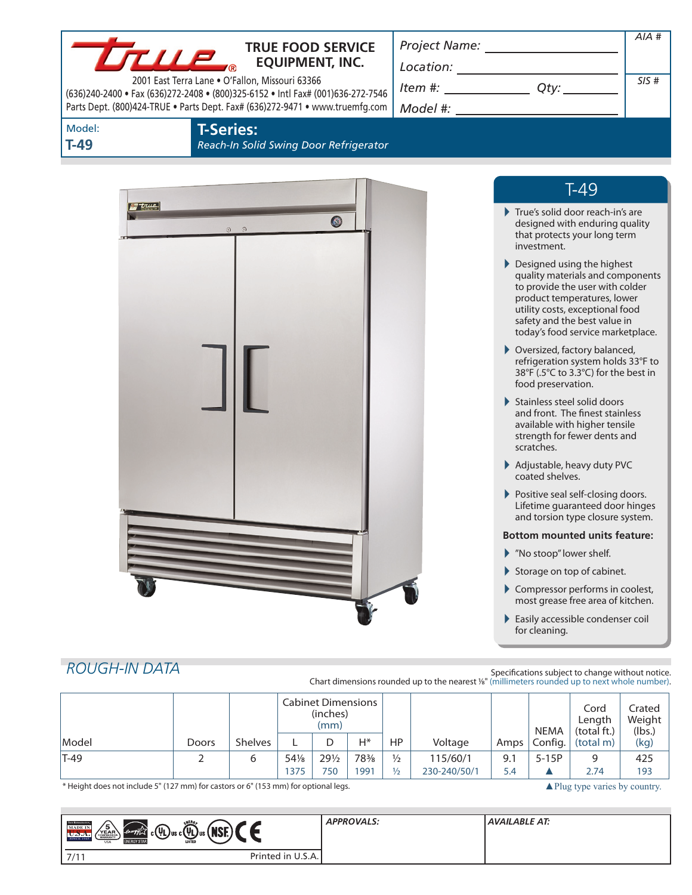|                      | <b>TTUP</b><br>2001 East Terra Lane . O'Fallon, Missouri 63366 | <b>TRUE FOOD SERVICE</b><br><b>EQUIPMENT, INC.</b><br>(636)240-2400 • Fax (636)272-2408 • (800)325-6152 • Intl Fax# (001)636-272-7546<br>Parts Dept. (800)424-TRUE . Parts Dept. Fax# (636)272-9471 . www.truemfg.com | $\begin{picture}(25,10) \put(0,0){\vector(1,0){100}} \put(15,0){\vector(1,0){100}} \put(15,0){\vector(1,0){100}} \put(15,0){\vector(1,0){100}} \put(15,0){\vector(1,0){100}} \put(15,0){\vector(1,0){100}} \put(15,0){\vector(1,0){100}} \put(15,0){\vector(1,0){100}} \put(15,0){\vector(1,0){100}} \put(15,0){\vector(1,0){100}} \put(15,0){\vector(1,0){100}} \$<br>$Item #: __________ Qty: __________$ |               |                                                                                                                                                                                                                                          | $AIA$ #<br>SIS#            |
|----------------------|----------------------------------------------------------------|-----------------------------------------------------------------------------------------------------------------------------------------------------------------------------------------------------------------------|-------------------------------------------------------------------------------------------------------------------------------------------------------------------------------------------------------------------------------------------------------------------------------------------------------------------------------------------------------------------------------------------------------------|---------------|------------------------------------------------------------------------------------------------------------------------------------------------------------------------------------------------------------------------------------------|----------------------------|
| Model:<br>$T-49$     | <b>T-Series:</b>                                               | Reach-In Solid Swing Door Refrigerator                                                                                                                                                                                |                                                                                                                                                                                                                                                                                                                                                                                                             |               |                                                                                                                                                                                                                                          |                            |
| <del>ig true</del>   | $\odot$<br>$\odot$                                             | $\bullet$                                                                                                                                                                                                             |                                                                                                                                                                                                                                                                                                                                                                                                             |               | $T-49$<br>$\blacktriangleright$ True's solid door reach-in's are<br>designed with enduring quality<br>that protects your long term                                                                                                       |                            |
|                      |                                                                |                                                                                                                                                                                                                       |                                                                                                                                                                                                                                                                                                                                                                                                             | investment.   | Designed using the highest<br>quality materials and components<br>to provide the user with colder<br>product temperatures, lower<br>utility costs, exceptional food<br>safety and the best value in<br>today's food service marketplace. |                            |
|                      |                                                                |                                                                                                                                                                                                                       |                                                                                                                                                                                                                                                                                                                                                                                                             |               | ▶ Oversized, factory balanced,<br>refrigeration system holds 33°F to<br>38°F (.5°C to 3.3°C) for the best in<br>food preservation.                                                                                                       |                            |
|                      |                                                                |                                                                                                                                                                                                                       |                                                                                                                                                                                                                                                                                                                                                                                                             | scratches.    | Stainless steel solid doors<br>and front. The finest stainless<br>available with higher tensile<br>strength for fewer dents and                                                                                                          |                            |
|                      |                                                                |                                                                                                                                                                                                                       |                                                                                                                                                                                                                                                                                                                                                                                                             |               | Adjustable, heavy duty PVC<br>coated shelves.<br>Positive seal self-closing doors.<br>Lifetime guaranteed door hinges<br>and torsion type closure system.                                                                                |                            |
|                      |                                                                |                                                                                                                                                                                                                       |                                                                                                                                                                                                                                                                                                                                                                                                             |               | <b>Bottom mounted units feature:</b>                                                                                                                                                                                                     |                            |
|                      |                                                                |                                                                                                                                                                                                                       |                                                                                                                                                                                                                                                                                                                                                                                                             |               | Mo stoop" lower shelf.                                                                                                                                                                                                                   |                            |
|                      |                                                                |                                                                                                                                                                                                                       |                                                                                                                                                                                                                                                                                                                                                                                                             |               | Storage on top of cabinet.                                                                                                                                                                                                               |                            |
|                      |                                                                |                                                                                                                                                                                                                       |                                                                                                                                                                                                                                                                                                                                                                                                             |               | Compressor performs in coolest,<br>most grease free area of kitchen.                                                                                                                                                                     |                            |
|                      |                                                                |                                                                                                                                                                                                                       |                                                                                                                                                                                                                                                                                                                                                                                                             | for cleaning. | Easily accessible condenser coil                                                                                                                                                                                                         |                            |
| <b>ROUGH-IN DATA</b> |                                                                |                                                                                                                                                                                                                       | Chart dimensions rounded up to the nearest 1/8" (millimeters rounded up to next whole number).                                                                                                                                                                                                                                                                                                              |               | Specifications subject to change without notice.                                                                                                                                                                                         |                            |
|                      |                                                                | <b>Cabinet Dimensions</b><br>(inches)<br>(mm)                                                                                                                                                                         |                                                                                                                                                                                                                                                                                                                                                                                                             |               | Cord<br>Length<br><b>NEMA</b><br>(total ft.)                                                                                                                                                                                             | Crated<br>Weight<br>(lbs.) |

\* Height does not include 5" (127 mm) for castors or 6" (153 mm) for optional legs. ▲Plug type varies by country.

| Model | Doors Shelves

Config.

| ENERG<br><b>TRIK REFEREEMO</b><br>15.<br><b>MADE IN</b><br>$^{\prime}$ Mor $^{\prime}$<br>$\mu$ ) <sub>us c</sub> $(\psi_{\rm I})$<br>(energy <del>Z</del><br>$\mathcal{L}(\mathsf{U}_1)$<br>YEAR<br>COMPRESSOR<br>WARRANTY<br>…rJus!"<br>SINCE 1945<br><b>LISTED</b><br><b>ENERGY STAR</b><br><b>USA</b> | <b>APPROVALS:</b> | <b>AVAILABLE AT:</b> |
|-----------------------------------------------------------------------------------------------------------------------------------------------------------------------------------------------------------------------------------------------------------------------------------------------------------|-------------------|----------------------|
| Printed in U.S.A.<br>7/11                                                                                                                                                                                                                                                                                 |                   |                      |

T-49 2 6 541/8 291/2 783/8 1/2 115/60/1 9.1 5-15P 9 425

HP Voltage Amps

L | D | H\* | HP | Voltage | Amps | Config. | (total m) | (kg)

1375 750 1991 12 230-240/50/1 5.4 ▲ 2.74 193